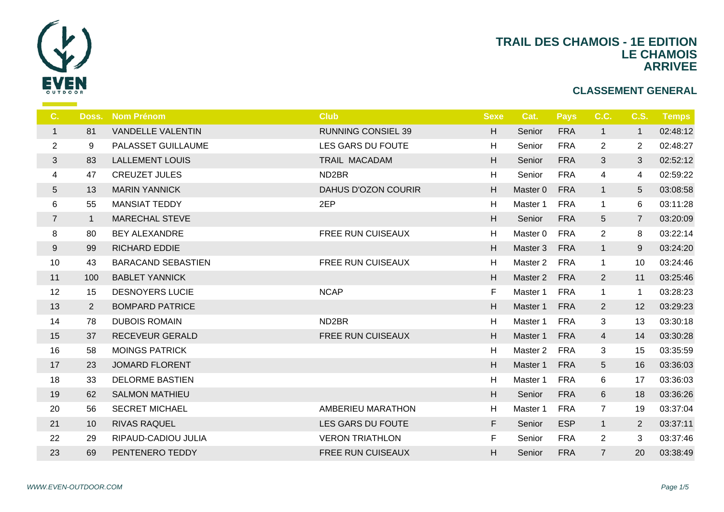

| C.                      | Doss.          | <b>Nom Prénom</b>         | <b>Club</b>               | <b>Sexe</b> | Cat.                | <b>Pays</b> | C.C.           | <b>C.S.</b>     | <b>Temps</b> |
|-------------------------|----------------|---------------------------|---------------------------|-------------|---------------------|-------------|----------------|-----------------|--------------|
| $\mathbf{1}$            | 81             | <b>VANDELLE VALENTIN</b>  | <b>RUNNING CONSIEL 39</b> | H           | Senior              | <b>FRA</b>  | $\mathbf{1}$   | $\mathbf{1}$    | 02:48:12     |
| $\overline{2}$          | 9              | PALASSET GUILLAUME        | LES GARS DU FOUTE         | H           | Senior              | <b>FRA</b>  | $\overline{2}$ | $\overline{2}$  | 02:48:27     |
| $\sqrt{3}$              | 83             | <b>LALLEMENT LOUIS</b>    | TRAIL MACADAM             | H           | Senior              | <b>FRA</b>  | $\mathbf{3}$   | 3               | 02:52:12     |
| $\overline{\mathbf{4}}$ | 47             | <b>CREUZET JULES</b>      | ND <sub>2</sub> BR        | H           | Senior              | <b>FRA</b>  | 4              | 4               | 02:59:22     |
| $\sqrt{5}$              | 13             | <b>MARIN YANNICK</b>      | DAHUS D'OZON COURIR       | H           | Master 0            | <b>FRA</b>  | $\mathbf{1}$   | $5\overline{)}$ | 03:08:58     |
| $\,6$                   | 55             | <b>MANSIAT TEDDY</b>      | 2EP                       | H           | Master 1            | <b>FRA</b>  | $\mathbf{1}$   | 6               | 03:11:28     |
| $\overline{7}$          | $\mathbf{1}$   | <b>MARECHAL STEVE</b>     |                           | H           | Senior              | <b>FRA</b>  | $\sqrt{5}$     | $\overline{7}$  | 03:20:09     |
| $\bf 8$                 | 80             | <b>BEY ALEXANDRE</b>      | <b>FREE RUN CUISEAUX</b>  | H           | Master 0            | <b>FRA</b>  | $\overline{2}$ | 8               | 03:22:14     |
| $\boldsymbol{9}$        | 99             | <b>RICHARD EDDIE</b>      |                           | H           | Master 3            | <b>FRA</b>  | $\mathbf{1}$   | 9               | 03:24:20     |
| 10                      | 43             | <b>BARACAND SEBASTIEN</b> | <b>FREE RUN CUISEAUX</b>  | H           | Master <sub>2</sub> | FRA         | $\mathbf{1}$   | 10              | 03:24:46     |
| 11                      | 100            | <b>BABLET YANNICK</b>     |                           | H           | Master 2            | <b>FRA</b>  | $\overline{2}$ | 11              | 03:25:46     |
| 12                      | 15             | <b>DESNOYERS LUCIE</b>    | <b>NCAP</b>               | F           | Master 1            | <b>FRA</b>  | $\mathbf{1}$   | $\mathbf 1$     | 03:28:23     |
| 13                      | $\overline{2}$ | <b>BOMPARD PATRICE</b>    |                           | H           | Master 1            | <b>FRA</b>  | $\overline{2}$ | 12              | 03:29:23     |
| 14                      | 78             | <b>DUBOIS ROMAIN</b>      | ND <sub>2</sub> BR        | H           | Master 1            | <b>FRA</b>  | 3              | 13              | 03:30:18     |
| 15                      | 37             | <b>RECEVEUR GERALD</b>    | <b>FREE RUN CUISEAUX</b>  | H           | Master 1            | <b>FRA</b>  | $\overline{4}$ | 14              | 03:30:28     |
| 16                      | 58             | <b>MOINGS PATRICK</b>     |                           | H           | Master 2            | <b>FRA</b>  | 3              | 15              | 03:35:59     |
| 17                      | 23             | <b>JOMARD FLORENT</b>     |                           | H           | Master 1            | <b>FRA</b>  | 5              | 16              | 03:36:03     |
| 18                      | 33             | <b>DELORME BASTIEN</b>    |                           | H           | Master 1            | FRA         | 6              | 17              | 03:36:03     |
| 19                      | 62             | <b>SALMON MATHIEU</b>     |                           | H           | Senior              | <b>FRA</b>  | 6              | 18              | 03:36:26     |
| 20                      | 56             | <b>SECRET MICHAEL</b>     | AMBERIEU MARATHON         | H           | Master 1            | <b>FRA</b>  | $\overline{7}$ | 19              | 03:37:04     |
| 21                      | 10             | <b>RIVAS RAQUEL</b>       | LES GARS DU FOUTE         | F.          | Senior              | <b>ESP</b>  | $\mathbf{1}$   | $\overline{2}$  | 03:37:11     |
| 22                      | 29             | RIPAUD-CADIOU JULIA       | <b>VERON TRIATHLON</b>    | F.          | Senior              | <b>FRA</b>  | $\mathbf{2}$   | 3               | 03:37:46     |
| 23                      | 69             | PENTENERO TEDDY           | <b>FREE RUN CUISEAUX</b>  | Н.          | Senior              | <b>FRA</b>  | $\overline{7}$ | 20              | 03:38:49     |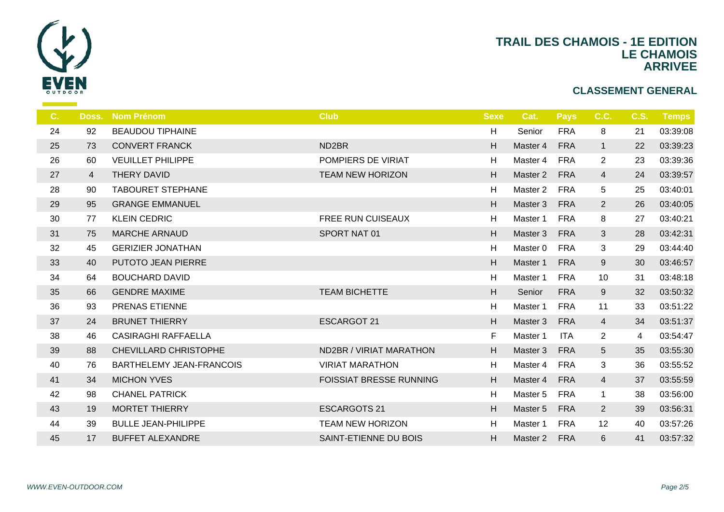

| C. | Doss.          | <b>Nom Prénom</b>               | <b>Club</b>                    | <b>Sexe</b> | Cat.                | <b>Pays</b> | C.C.            | <b>C.S.</b> | <b>Temps</b> |
|----|----------------|---------------------------------|--------------------------------|-------------|---------------------|-------------|-----------------|-------------|--------------|
| 24 | 92             | <b>BEAUDOU TIPHAINE</b>         |                                | H           | Senior              | <b>FRA</b>  | 8               | 21          | 03:39:08     |
| 25 | 73             | <b>CONVERT FRANCK</b>           | ND <sub>2</sub> BR             | H           | Master 4            | <b>FRA</b>  | $\mathbf{1}$    | 22          | 03:39:23     |
| 26 | 60             | <b>VEUILLET PHILIPPE</b>        | POMPIERS DE VIRIAT             | H           | Master 4            | <b>FRA</b>  | $\overline{2}$  | 23          | 03:39:36     |
| 27 | $\overline{4}$ | THERY DAVID                     | <b>TEAM NEW HORIZON</b>        | H           | Master 2            | <b>FRA</b>  | $\overline{4}$  | 24          | 03:39:57     |
| 28 | 90             | <b>TABOURET STEPHANE</b>        |                                | H           | Master 2            | <b>FRA</b>  | 5               | 25          | 03:40:01     |
| 29 | 95             | <b>GRANGE EMMANUEL</b>          |                                | H           | Master 3            | <b>FRA</b>  | $\overline{2}$  | 26          | 03:40:05     |
| 30 | 77             | <b>KLEIN CEDRIC</b>             | <b>FREE RUN CUISEAUX</b>       | H           | Master 1            | <b>FRA</b>  | 8               | 27          | 03:40:21     |
| 31 | 75             | <b>MARCHE ARNAUD</b>            | SPORT NAT 01                   | H           | Master 3            | <b>FRA</b>  | $\mathbf{3}$    | 28          | 03:42:31     |
| 32 | 45             | <b>GERIZIER JONATHAN</b>        |                                | H           | Master <sub>0</sub> | <b>FRA</b>  | 3               | 29          | 03:44:40     |
| 33 | 40             | PUTOTO JEAN PIERRE              |                                | H           | Master 1            | <b>FRA</b>  | 9               | 30          | 03:46:57     |
| 34 | 64             | <b>BOUCHARD DAVID</b>           |                                | H           | Master 1            | <b>FRA</b>  | 10              | 31          | 03:48:18     |
| 35 | 66             | <b>GENDRE MAXIME</b>            | <b>TEAM BICHETTE</b>           | H           | Senior              | <b>FRA</b>  | 9               | 32          | 03:50:32     |
| 36 | 93             | PRENAS ETIENNE                  |                                | H           | Master 1            | <b>FRA</b>  | 11              | 33          | 03:51:22     |
| 37 | 24             | <b>BRUNET THIERRY</b>           | <b>ESCARGOT 21</b>             | H           | Master 3            | <b>FRA</b>  | $\overline{4}$  | 34          | 03:51:37     |
| 38 | 46             | <b>CASIRAGHI RAFFAELLA</b>      |                                | F           | Master 1            | <b>ITA</b>  | $\overline{2}$  | 4           | 03:54:47     |
| 39 | 88             | CHEVILLARD CHRISTOPHE           | ND2BR / VIRIAT MARATHON        | H           | Master 3            | <b>FRA</b>  | $5\phantom{.0}$ | 35          | 03:55:30     |
| 40 | 76             | <b>BARTHELEMY JEAN-FRANCOIS</b> | <b>VIRIAT MARATHON</b>         | H           | Master 4            | <b>FRA</b>  | 3               | 36          | 03:55:52     |
| 41 | 34             | <b>MICHON YVES</b>              | <b>FOISSIAT BRESSE RUNNING</b> | H           | Master 4            | <b>FRA</b>  | $\overline{4}$  | 37          | 03:55:59     |
| 42 | 98             | <b>CHANEL PATRICK</b>           |                                | H           | Master 5            | <b>FRA</b>  | $\mathbf{1}$    | 38          | 03:56:00     |
| 43 | 19             | <b>MORTET THIERRY</b>           | <b>ESCARGOTS 21</b>            | H           | Master 5            | <b>FRA</b>  | $\overline{2}$  | 39          | 03:56:31     |
| 44 | 39             | <b>BULLE JEAN-PHILIPPE</b>      | <b>TEAM NEW HORIZON</b>        | H           | Master 1            | <b>FRA</b>  | 12              | 40          | 03:57:26     |
| 45 | 17             | <b>BUFFET ALEXANDRE</b>         | SAINT-ETIENNE DU BOIS          | H           | Master 2            | <b>FRA</b>  | 6               | 41          | 03:57:32     |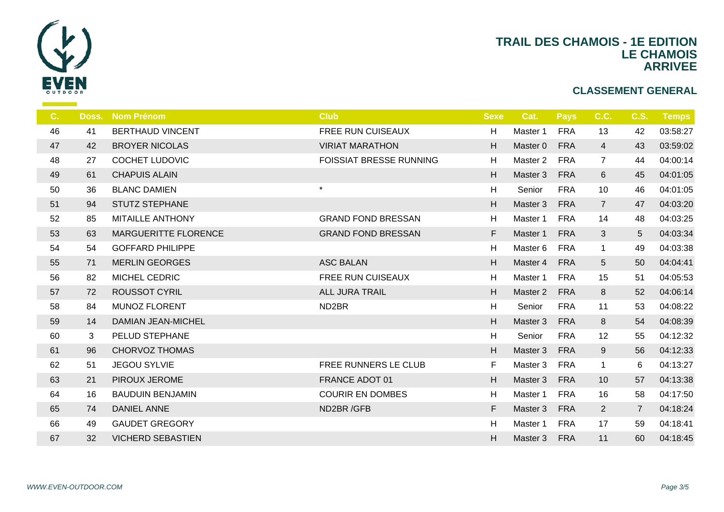

| C <sub>1</sub> | Doss. | <b>Nom Prénom</b>         | <b>Club</b>                    | <b>Sexe</b> | Cat.                | <b>Pays</b> | C.C.            | C.S.           | <b>Temps</b> |
|----------------|-------|---------------------------|--------------------------------|-------------|---------------------|-------------|-----------------|----------------|--------------|
| 46             | 41    | <b>BERTHAUD VINCENT</b>   | <b>FREE RUN CUISEAUX</b>       | H           | Master 1            | <b>FRA</b>  | 13              | 42             | 03:58:27     |
| 47             | 42    | <b>BROYER NICOLAS</b>     | <b>VIRIAT MARATHON</b>         | H           | Master 0            | <b>FRA</b>  | $\overline{4}$  | 43             | 03:59:02     |
| 48             | 27    | <b>COCHET LUDOVIC</b>     | <b>FOISSIAT BRESSE RUNNING</b> | H           | Master 2            | <b>FRA</b>  | $\overline{7}$  | 44             | 04:00:14     |
| 49             | 61    | <b>CHAPUIS ALAIN</b>      |                                | H           | Master 3            | <b>FRA</b>  | $6\phantom{1}$  | 45             | 04:01:05     |
| 50             | 36    | <b>BLANC DAMIEN</b>       | $\star$                        | H           | Senior              | <b>FRA</b>  | 10              | 46             | 04:01:05     |
| 51             | 94    | <b>STUTZ STEPHANE</b>     |                                | H           | Master 3            | <b>FRA</b>  | $\overline{7}$  | 47             | 04:03:20     |
| 52             | 85    | <b>MITAILLE ANTHONY</b>   | <b>GRAND FOND BRESSAN</b>      | H           | Master 1            | <b>FRA</b>  | 14              | 48             | 04:03:25     |
| 53             | 63    | MARGUERITTE FLORENCE      | <b>GRAND FOND BRESSAN</b>      | F           | Master 1            | <b>FRA</b>  | 3               | 5              | 04:03:34     |
| 54             | 54    | <b>GOFFARD PHILIPPE</b>   |                                | H           | Master 6            | <b>FRA</b>  | $\mathbf{1}$    | 49             | 04:03:38     |
| 55             | 71    | <b>MERLIN GEORGES</b>     | <b>ASC BALAN</b>               | H           | Master 4            | <b>FRA</b>  | $5\phantom{.0}$ | 50             | 04:04:41     |
| 56             | 82    | MICHEL CEDRIC             | <b>FREE RUN CUISEAUX</b>       | H           | Master 1            | <b>FRA</b>  | 15              | 51             | 04:05:53     |
| 57             | 72    | <b>ROUSSOT CYRIL</b>      | <b>ALL JURA TRAIL</b>          | H           | Master <sub>2</sub> | <b>FRA</b>  | 8               | 52             | 04:06:14     |
| 58             | 84    | <b>MUNOZ FLORENT</b>      | ND <sub>2</sub> BR             | H           | Senior              | <b>FRA</b>  | 11              | 53             | 04:08:22     |
| 59             | 14    | <b>DAMIAN JEAN-MICHEL</b> |                                | H.          | Master 3            | <b>FRA</b>  | 8               | 54             | 04:08:39     |
| 60             | 3     | PELUD STEPHANE            |                                | H           | Senior              | <b>FRA</b>  | 12              | 55             | 04:12:32     |
| 61             | 96    | <b>CHORVOZ THOMAS</b>     |                                | H           | Master 3            | <b>FRA</b>  | 9               | 56             | 04:12:33     |
| 62             | 51    | <b>JEGOU SYLVIE</b>       | FREE RUNNERS LE CLUB           | F           | Master 3            | <b>FRA</b>  | $\mathbf 1$     | 6              | 04:13:27     |
| 63             | 21    | PIROUX JEROME             | FRANCE ADOT 01                 | H           | Master 3            | <b>FRA</b>  | 10              | 57             | 04:13:38     |
| 64             | 16    | <b>BAUDUIN BENJAMIN</b>   | <b>COURIR EN DOMBES</b>        | H           | Master 1            | <b>FRA</b>  | 16              | 58             | 04:17:50     |
| 65             | 74    | <b>DANIEL ANNE</b>        | ND2BR/GFB                      | F.          | Master 3            | <b>FRA</b>  | $\overline{2}$  | $\overline{7}$ | 04:18:24     |
| 66             | 49    | <b>GAUDET GREGORY</b>     |                                | H           | Master 1            | <b>FRA</b>  | 17              | 59             | 04:18:41     |
| 67             | 32    | <b>VICHERD SEBASTIEN</b>  |                                | H           | Master 3            | <b>FRA</b>  | 11              | 60             | 04:18:45     |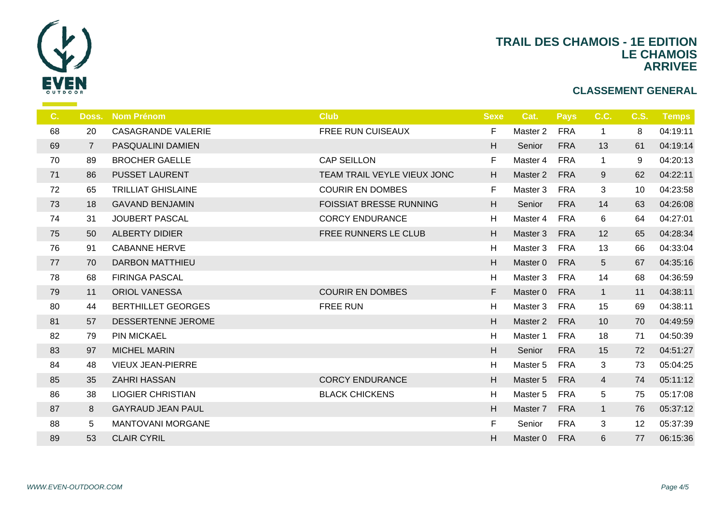

| C. | Doss.          | <b>Nom Prénom</b>         | <b>Club</b>                    | <b>Sexe</b> | Cat.     | <b>Pays</b> | C.C.            | <b>C.S.</b> | <b>Temps</b> |
|----|----------------|---------------------------|--------------------------------|-------------|----------|-------------|-----------------|-------------|--------------|
| 68 | 20             | <b>CASAGRANDE VALERIE</b> | FREE RUN CUISEAUX              | F           | Master 2 | <b>FRA</b>  | $\mathbf{1}$    | 8           | 04:19:11     |
| 69 | $\overline{7}$ | PASQUALINI DAMIEN         |                                | H           | Senior   | <b>FRA</b>  | 13              | 61          | 04:19:14     |
| 70 | 89             | <b>BROCHER GAELLE</b>     | <b>CAP SEILLON</b>             | F           | Master 4 | <b>FRA</b>  | $\mathbf{1}$    | 9           | 04:20:13     |
| 71 | 86             | <b>PUSSET LAURENT</b>     | TEAM TRAIL VEYLE VIEUX JONC    | H           | Master 2 | <b>FRA</b>  | 9               | 62          | 04:22:11     |
| 72 | 65             | <b>TRILLIAT GHISLAINE</b> | <b>COURIR EN DOMBES</b>        | F           | Master 3 | <b>FRA</b>  | 3               | 10          | 04:23:58     |
| 73 | 18             | <b>GAVAND BENJAMIN</b>    | <b>FOISSIAT BRESSE RUNNING</b> | H           | Senior   | <b>FRA</b>  | 14              | 63          | 04:26:08     |
| 74 | 31             | <b>JOUBERT PASCAL</b>     | <b>CORCY ENDURANCE</b>         | H           | Master 4 | <b>FRA</b>  | 6               | 64          | 04:27:01     |
| 75 | 50             | <b>ALBERTY DIDIER</b>     | FREE RUNNERS LE CLUB           | H           | Master 3 | <b>FRA</b>  | 12              | 65          | 04:28:34     |
| 76 | 91             | <b>CABANNE HERVE</b>      |                                | H           | Master 3 | <b>FRA</b>  | 13              | 66          | 04:33:04     |
| 77 | 70             | <b>DARBON MATTHIEU</b>    |                                | H           | Master 0 | <b>FRA</b>  | $5\phantom{.0}$ | 67          | 04:35:16     |
| 78 | 68             | <b>FIRINGA PASCAL</b>     |                                | H           | Master 3 | <b>FRA</b>  | 14              | 68          | 04:36:59     |
| 79 | 11             | <b>ORIOL VANESSA</b>      | <b>COURIR EN DOMBES</b>        | F           | Master 0 | <b>FRA</b>  | $\mathbf{1}$    | 11          | 04:38:11     |
| 80 | 44             | <b>BERTHILLET GEORGES</b> | <b>FREE RUN</b>                | H           | Master 3 | <b>FRA</b>  | 15              | 69          | 04:38:11     |
| 81 | 57             | DESSERTENNE JEROME        |                                | H           | Master 2 | <b>FRA</b>  | 10              | 70          | 04:49:59     |
| 82 | 79             | <b>PIN MICKAEL</b>        |                                | H           | Master 1 | <b>FRA</b>  | 18              | 71          | 04:50:39     |
| 83 | 97             | <b>MICHEL MARIN</b>       |                                | H           | Senior   | <b>FRA</b>  | 15              | 72          | 04:51:27     |
| 84 | 48             | <b>VIEUX JEAN-PIERRE</b>  |                                | H           | Master 5 | <b>FRA</b>  | 3               | 73          | 05:04:25     |
| 85 | 35             | <b>ZAHRI HASSAN</b>       | <b>CORCY ENDURANCE</b>         | H           | Master 5 | <b>FRA</b>  | $\overline{4}$  | 74          | 05:11:12     |
| 86 | 38             | <b>LIOGIER CHRISTIAN</b>  | <b>BLACK CHICKENS</b>          | H           | Master 5 | <b>FRA</b>  | 5               | 75          | 05:17:08     |
| 87 | 8              | <b>GAYRAUD JEAN PAUL</b>  |                                | H           | Master 7 | <b>FRA</b>  | $\mathbf{1}$    | 76          | 05:37:12     |
| 88 | 5              | <b>MANTOVANI MORGANE</b>  |                                | $\mathsf F$ | Senior   | <b>FRA</b>  | 3               | 12          | 05:37:39     |
| 89 | 53             | <b>CLAIR CYRIL</b>        |                                | H           | Master 0 | <b>FRA</b>  | 6               | 77          | 06:15:36     |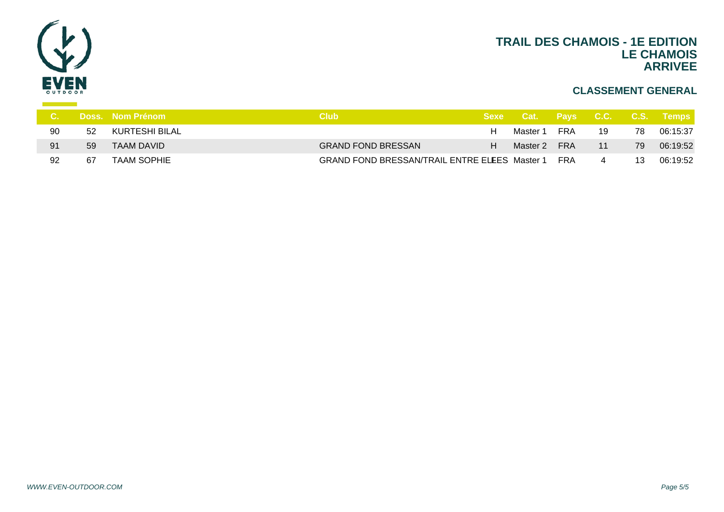

|    |    | <b>Doss. Nom Prénom</b> | <b>Club</b>                                          |    | Sexe Cat. Pays C.C. C.S. Temps |            |    |    |          |
|----|----|-------------------------|------------------------------------------------------|----|--------------------------------|------------|----|----|----------|
| 90 | 52 | KURTESHI BILAL          |                                                      | H. | Master 1                       | <b>FRA</b> | 19 | 78 | 06:15:37 |
| 91 | 59 | TAAM DAVID              | <b>GRAND FOND BRESSAN</b>                            | H  | Master 2                       | FRA        | 11 | 79 | 06:19:52 |
| 92 | 67 | TAAM SOPHIE             | <b>GRAND FOND BRESSAN/TRAIL ENTRE ELEES Master 1</b> |    |                                | FRA        |    | 13 | 06:19:52 |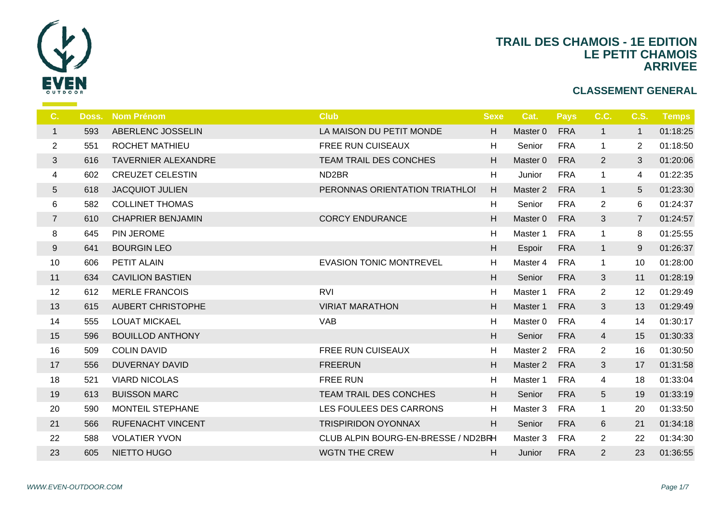

| C.             | Doss. | <b>Nom Prénom</b>          | <b>Club</b>                         | <b>Sexe</b> | Cat.                | <b>Pays</b> | C.C.            | <b>C.S.</b>     | <b>Temps</b> |
|----------------|-------|----------------------------|-------------------------------------|-------------|---------------------|-------------|-----------------|-----------------|--------------|
| $\mathbf{1}$   | 593   | ABERLENC JOSSELIN          | LA MAISON DU PETIT MONDE            | H           | Master 0            | <b>FRA</b>  | $\mathbf{1}$    | $\mathbf{1}$    | 01:18:25     |
| $\overline{2}$ | 551   | <b>ROCHET MATHIEU</b>      | <b>FREE RUN CUISEAUX</b>            | H           | Senior              | <b>FRA</b>  | $\mathbf{1}$    | $\overline{2}$  | 01:18:50     |
| $\mathfrak{S}$ | 616   | <b>TAVERNIER ALEXANDRE</b> | <b>TEAM TRAIL DES CONCHES</b>       | H.          | Master 0            | <b>FRA</b>  | $\overline{2}$  | 3               | 01:20:06     |
| 4              | 602   | <b>CREUZET CELESTIN</b>    | ND <sub>2</sub> BR                  | H           | Junior              | <b>FRA</b>  | $\mathbf{1}$    | 4               | 01:22:35     |
| $5\,$          | 618   | <b>JACQUIOT JULIEN</b>     | PERONNAS ORIENTATION TRIATHLOI      | H           | Master 2            | <b>FRA</b>  | $\mathbf{1}$    | $5\overline{)}$ | 01:23:30     |
| 6              | 582   | <b>COLLINET THOMAS</b>     |                                     | H           | Senior              | <b>FRA</b>  | $\overline{2}$  | 6               | 01:24:37     |
| $\overline{7}$ | 610   | <b>CHAPRIER BENJAMIN</b>   | <b>CORCY ENDURANCE</b>              | H.          | Master 0            | <b>FRA</b>  | 3               | $\overline{7}$  | 01:24:57     |
| 8              | 645   | PIN JEROME                 |                                     | H           | Master 1            | <b>FRA</b>  | $\mathbf{1}$    | 8               | 01:25:55     |
| 9              | 641   | <b>BOURGIN LEO</b>         |                                     | H           | Espoir              | <b>FRA</b>  | $\mathbf{1}$    | 9               | 01:26:37     |
| 10             | 606   | PETIT ALAIN                | <b>EVASION TONIC MONTREVEL</b>      | н           | Master 4            | <b>FRA</b>  | $\mathbf{1}$    | 10              | 01:28:00     |
| 11             | 634   | <b>CAVILION BASTIEN</b>    |                                     | H           | Senior              | <b>FRA</b>  | 3               | 11              | 01:28:19     |
| 12             | 612   | <b>MERLE FRANCOIS</b>      | <b>RVI</b>                          | H           | Master 1            | <b>FRA</b>  | $\overline{2}$  | 12              | 01:29:49     |
| 13             | 615   | <b>AUBERT CHRISTOPHE</b>   | <b>VIRIAT MARATHON</b>              | H.          | Master 1            | <b>FRA</b>  | 3               | 13              | 01:29:49     |
| 14             | 555   | <b>LOUAT MICKAEL</b>       | <b>VAB</b>                          | H           | Master <sub>0</sub> | <b>FRA</b>  | 4               | 14              | 01:30:17     |
| 15             | 596   | <b>BOUILLOD ANTHONY</b>    |                                     | H           | Senior              | <b>FRA</b>  | 4               | 15              | 01:30:33     |
| 16             | 509   | <b>COLIN DAVID</b>         | <b>FREE RUN CUISEAUX</b>            | H           | Master <sub>2</sub> | <b>FRA</b>  | $\overline{2}$  | 16              | 01:30:50     |
| 17             | 556   | <b>DUVERNAY DAVID</b>      | <b>FREERUN</b>                      | H           | Master 2            | <b>FRA</b>  | 3               | 17              | 01:31:58     |
| 18             | 521   | <b>VIARD NICOLAS</b>       | <b>FREE RUN</b>                     | H           | Master 1            | <b>FRA</b>  | 4               | 18              | 01:33:04     |
| 19             | 613   | <b>BUISSON MARC</b>        | TEAM TRAIL DES CONCHES              | H           | Senior              | <b>FRA</b>  | $5\phantom{.0}$ | 19              | 01:33:19     |
| 20             | 590   | MONTEIL STEPHANE           | LES FOULEES DES CARRONS             | н           | Master 3            | <b>FRA</b>  | $\mathbf{1}$    | 20              | 01:33:50     |
| 21             | 566   | <b>RUFENACHT VINCENT</b>   | <b>TRISPIRIDON OYONNAX</b>          | H           | Senior              | <b>FRA</b>  | 6               | 21              | 01:34:18     |
| 22             | 588   | <b>VOLATIER YVON</b>       | CLUB ALPIN BOURG-EN-BRESSE / ND2BRH |             | Master 3            | <b>FRA</b>  | $\overline{2}$  | 22              | 01:34:30     |
| 23             | 605   | NIETTO HUGO                | <b>WGTN THE CREW</b>                | H.          | Junior              | <b>FRA</b>  | 2               | 23              | 01:36:55     |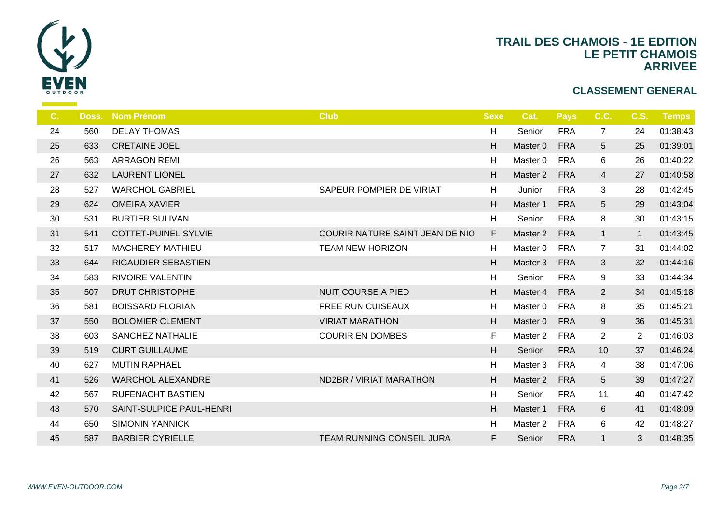

| $C_{1}$ | Doss. | <b>Nom Prénom</b>           | <b>Club</b>                     | <b>Sexe</b> | Cat.     | <b>Pays</b> | C.C.           | <b>C.S.</b>    | <b>Temps</b> |
|---------|-------|-----------------------------|---------------------------------|-------------|----------|-------------|----------------|----------------|--------------|
| 24      | 560   | <b>DELAY THOMAS</b>         |                                 | H           | Senior   | <b>FRA</b>  | $\overline{7}$ | 24             | 01:38:43     |
| 25      | 633   | <b>CRETAINE JOEL</b>        |                                 | H           | Master 0 | <b>FRA</b>  | 5              | 25             | 01:39:01     |
| 26      | 563   | <b>ARRAGON REMI</b>         |                                 | H           | Master 0 | <b>FRA</b>  | 6              | 26             | 01:40:22     |
| 27      | 632   | <b>LAURENT LIONEL</b>       |                                 | H           | Master 2 | <b>FRA</b>  | $\overline{4}$ | 27             | 01:40:58     |
| 28      | 527   | <b>WARCHOL GABRIEL</b>      | SAPEUR POMPIER DE VIRIAT        | H           | Junior   | <b>FRA</b>  | $\mathfrak{B}$ | 28             | 01:42:45     |
| 29      | 624   | <b>OMEIRA XAVIER</b>        |                                 | H           | Master 1 | <b>FRA</b>  | 5              | 29             | 01:43:04     |
| 30      | 531   | <b>BURTIER SULIVAN</b>      |                                 | H           | Senior   | <b>FRA</b>  | 8              | 30             | 01:43:15     |
| 31      | 541   | <b>COTTET-PUINEL SYLVIE</b> | COURIR NATURE SAINT JEAN DE NIO | F           | Master 2 | <b>FRA</b>  | $\mathbf{1}$   | $\mathbf{1}$   | 01:43:45     |
| 32      | 517   | <b>MACHEREY MATHIEU</b>     | <b>TEAM NEW HORIZON</b>         | H           | Master 0 | <b>FRA</b>  | $\overline{7}$ | 31             | 01:44:02     |
| 33      | 644   | RIGAUDIER SEBASTIEN         |                                 | H           | Master 3 | <b>FRA</b>  | $\mathbf{3}$   | 32             | 01:44:16     |
| 34      | 583   | <b>RIVOIRE VALENTIN</b>     |                                 | H           | Senior   | <b>FRA</b>  | 9              | 33             | 01:44:34     |
| 35      | 507   | <b>DRUT CHRISTOPHE</b>      | <b>NUIT COURSE A PIED</b>       | H           | Master 4 | <b>FRA</b>  | $\overline{2}$ | 34             | 01:45:18     |
| 36      | 581   | <b>BOISSARD FLORIAN</b>     | <b>FREE RUN CUISEAUX</b>        | H           | Master 0 | <b>FRA</b>  | 8              | 35             | 01:45:21     |
| 37      | 550   | <b>BOLOMIER CLEMENT</b>     | <b>VIRIAT MARATHON</b>          | H           | Master 0 | <b>FRA</b>  | 9              | 36             | 01:45:31     |
| 38      | 603   | SANCHEZ NATHALIE            | <b>COURIR EN DOMBES</b>         | F           | Master 2 | <b>FRA</b>  | $\overline{2}$ | $\overline{2}$ | 01:46:03     |
| 39      | 519   | <b>CURT GUILLAUME</b>       |                                 | H           | Senior   | <b>FRA</b>  | 10             | 37             | 01:46:24     |
| 40      | 627   | <b>MUTIN RAPHAEL</b>        |                                 | H           | Master 3 | <b>FRA</b>  | 4              | 38             | 01:47:06     |
| 41      | 526   | <b>WARCHOL ALEXANDRE</b>    | ND2BR / VIRIAT MARATHON         | H           | Master 2 | <b>FRA</b>  | $\sqrt{5}$     | 39             | 01:47:27     |
| 42      | 567   | RUFENACHT BASTIEN           |                                 | H           | Senior   | <b>FRA</b>  | 11             | 40             | 01:47:42     |
| 43      | 570   | SAINT-SULPICE PAUL-HENRI    |                                 | H           | Master 1 | <b>FRA</b>  | 6              | 41             | 01:48:09     |
| 44      | 650   | <b>SIMONIN YANNICK</b>      |                                 | H           | Master 2 | <b>FRA</b>  | 6              | 42             | 01:48:27     |
| 45      | 587   | <b>BARBIER CYRIELLE</b>     | TEAM RUNNING CONSEIL JURA       | F.          | Senior   | <b>FRA</b>  | $\mathbf{1}$   | 3              | 01:48:35     |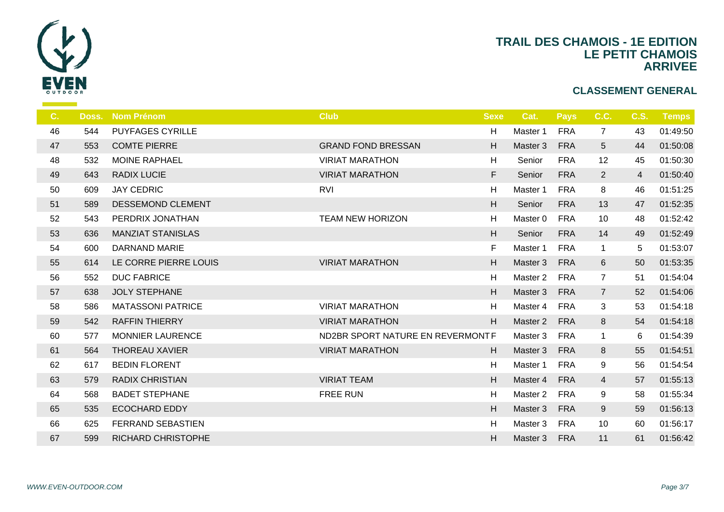

| C. | Doss. | <b>Nom Prénom</b>        | <b>Club</b>                      | <b>Sexe</b> | Cat.                | <b>Pays</b> | C.C.            | <b>C.S.</b>    | Temps    |
|----|-------|--------------------------|----------------------------------|-------------|---------------------|-------------|-----------------|----------------|----------|
| 46 | 544   | <b>PUYFAGES CYRILLE</b>  |                                  | H           | Master 1            | <b>FRA</b>  | $\overline{7}$  | 43             | 01:49:50 |
| 47 | 553   | <b>COMTE PIERRE</b>      | <b>GRAND FOND BRESSAN</b>        | H           | Master 3            | <b>FRA</b>  | $5\phantom{.0}$ | 44             | 01:50:08 |
| 48 | 532   | <b>MOINE RAPHAEL</b>     | <b>VIRIAT MARATHON</b>           | H           | Senior              | <b>FRA</b>  | 12              | 45             | 01:50:30 |
| 49 | 643   | <b>RADIX LUCIE</b>       | <b>VIRIAT MARATHON</b>           | F           | Senior              | <b>FRA</b>  | $\overline{2}$  | $\overline{4}$ | 01:50:40 |
| 50 | 609   | <b>JAY CEDRIC</b>        | <b>RVI</b>                       | H           | Master 1            | <b>FRA</b>  | 8               | 46             | 01:51:25 |
| 51 | 589   | DESSEMOND CLEMENT        |                                  | H           | Senior              | <b>FRA</b>  | 13              | 47             | 01:52:35 |
| 52 | 543   | PERDRIX JONATHAN         | <b>TEAM NEW HORIZON</b>          | H           | Master <sub>0</sub> | <b>FRA</b>  | 10              | 48             | 01:52:42 |
| 53 | 636   | <b>MANZIAT STANISLAS</b> |                                  | H           | Senior              | <b>FRA</b>  | 14              | 49             | 01:52:49 |
| 54 | 600   | <b>DARNAND MARIE</b>     |                                  | F           | Master 1            | <b>FRA</b>  | $\mathbf{1}$    | 5              | 01:53:07 |
| 55 | 614   | LE CORRE PIERRE LOUIS    | <b>VIRIAT MARATHON</b>           | H           | Master 3            | <b>FRA</b>  | 6               | 50             | 01:53:35 |
| 56 | 552   | <b>DUC FABRICE</b>       |                                  | H           | Master 2            | <b>FRA</b>  | $7\overline{ }$ | 51             | 01:54:04 |
| 57 | 638   | <b>JOLY STEPHANE</b>     |                                  | H           | Master 3            | <b>FRA</b>  | $\overline{7}$  | 52             | 01:54:06 |
| 58 | 586   | <b>MATASSONI PATRICE</b> | <b>VIRIAT MARATHON</b>           | H           | Master 4            | <b>FRA</b>  | 3               | 53             | 01:54:18 |
| 59 | 542   | <b>RAFFIN THIERRY</b>    | <b>VIRIAT MARATHON</b>           | H           | Master 2            | <b>FRA</b>  | 8               | 54             | 01:54:18 |
| 60 | 577   | <b>MONNIER LAURENCE</b>  | ND2BR SPORT NATURE EN REVERMONTF |             | Master 3            | <b>FRA</b>  | $\mathbf{1}$    | 6              | 01:54:39 |
| 61 | 564   | <b>THOREAU XAVIER</b>    | <b>VIRIAT MARATHON</b>           | H           | Master 3            | <b>FRA</b>  | 8               | 55             | 01:54:51 |
| 62 | 617   | <b>BEDIN FLORENT</b>     |                                  | H           | Master 1            | <b>FRA</b>  | 9               | 56             | 01:54:54 |
| 63 | 579   | <b>RADIX CHRISTIAN</b>   | <b>VIRIAT TEAM</b>               | H           | Master 4            | <b>FRA</b>  | $\overline{4}$  | 57             | 01:55:13 |
| 64 | 568   | <b>BADET STEPHANE</b>    | <b>FREE RUN</b>                  | H           | Master 2            | <b>FRA</b>  | 9               | 58             | 01:55:34 |
| 65 | 535   | <b>ECOCHARD EDDY</b>     |                                  | H           | Master 3            | <b>FRA</b>  | 9               | 59             | 01:56:13 |
| 66 | 625   | <b>FERRAND SEBASTIEN</b> |                                  | H           | Master 3            | <b>FRA</b>  | 10              | 60             | 01:56:17 |
| 67 | 599   | RICHARD CHRISTOPHE       |                                  | H           | Master 3            | <b>FRA</b>  | 11              | 61             | 01:56:42 |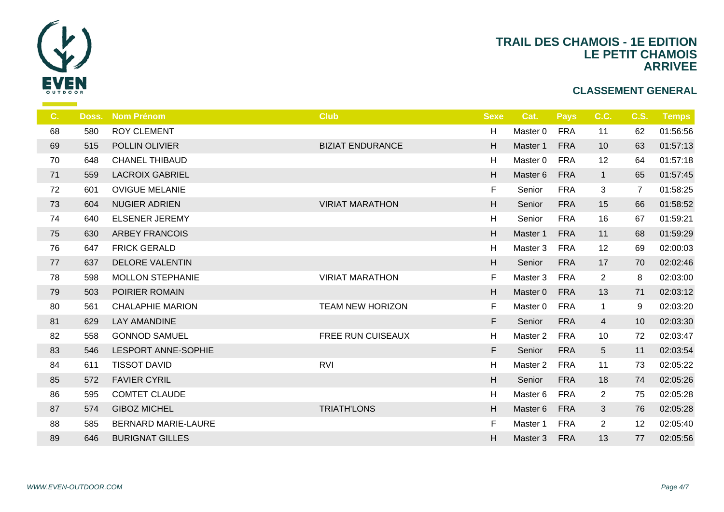

| C. | Doss. | <b>Nom Prénom</b>          | <b>Club</b>             | <b>Sexe</b> | Cat.     | <b>Pays</b> | C.C.           | <b>C.S.</b>    | Temps    |
|----|-------|----------------------------|-------------------------|-------------|----------|-------------|----------------|----------------|----------|
| 68 | 580   | <b>ROY CLEMENT</b>         |                         | H           | Master 0 | <b>FRA</b>  | 11             | 62             | 01:56:56 |
| 69 | 515   | POLLIN OLIVIER             | <b>BIZIAT ENDURANCE</b> | H           | Master 1 | <b>FRA</b>  | 10             | 63             | 01:57:13 |
| 70 | 648   | <b>CHANEL THIBAUD</b>      |                         | H           | Master 0 | <b>FRA</b>  | 12             | 64             | 01:57:18 |
| 71 | 559   | <b>LACROIX GABRIEL</b>     |                         | H           | Master 6 | <b>FRA</b>  | $\mathbf{1}$   | 65             | 01:57:45 |
| 72 | 601   | <b>OVIGUE MELANIE</b>      |                         | F           | Senior   | <b>FRA</b>  | 3              | $\overline{7}$ | 01:58:25 |
| 73 | 604   | <b>NUGIER ADRIEN</b>       | <b>VIRIAT MARATHON</b>  | H           | Senior   | <b>FRA</b>  | 15             | 66             | 01:58:52 |
| 74 | 640   | <b>ELSENER JEREMY</b>      |                         | H           | Senior   | <b>FRA</b>  | 16             | 67             | 01:59:21 |
| 75 | 630   | <b>ARBEY FRANCOIS</b>      |                         | H           | Master 1 | <b>FRA</b>  | 11             | 68             | 01:59:29 |
| 76 | 647   | <b>FRICK GERALD</b>        |                         | Н           | Master 3 | <b>FRA</b>  | 12             | 69             | 02:00:03 |
| 77 | 637   | <b>DELORE VALENTIN</b>     |                         | H           | Senior   | <b>FRA</b>  | 17             | 70             | 02:02:46 |
| 78 | 598   | <b>MOLLON STEPHANIE</b>    | <b>VIRIAT MARATHON</b>  | F           | Master 3 | <b>FRA</b>  | $\overline{2}$ | 8              | 02:03:00 |
| 79 | 503   | POIRIER ROMAIN             |                         | H           | Master 0 | <b>FRA</b>  | 13             | 71             | 02:03:12 |
| 80 | 561   | <b>CHALAPHIE MARION</b>    | <b>TEAM NEW HORIZON</b> | F           | Master 0 | <b>FRA</b>  | $\mathbf{1}$   | 9              | 02:03:20 |
| 81 | 629   | <b>LAY AMANDINE</b>        |                         | F           | Senior   | <b>FRA</b>  | $\overline{4}$ | 10             | 02:03:30 |
| 82 | 558   | <b>GONNOD SAMUEL</b>       | FREE RUN CUISEAUX       | H           | Master 2 | <b>FRA</b>  | 10             | 72             | 02:03:47 |
| 83 | 546   | <b>LESPORT ANNE-SOPHIE</b> |                         | $\mathsf F$ | Senior   | <b>FRA</b>  | 5              | 11             | 02:03:54 |
| 84 | 611   | <b>TISSOT DAVID</b>        | <b>RVI</b>              | H           | Master 2 | <b>FRA</b>  | 11             | 73             | 02:05:22 |
| 85 | 572   | <b>FAVIER CYRIL</b>        |                         | H           | Senior   | <b>FRA</b>  | 18             | 74             | 02:05:26 |
| 86 | 595   | <b>COMTET CLAUDE</b>       |                         | H           | Master 6 | <b>FRA</b>  | $\overline{2}$ | 75             | 02:05:28 |
| 87 | 574   | <b>GIBOZ MICHEL</b>        | <b>TRIATH'LONS</b>      | H           | Master 6 | <b>FRA</b>  | $\mathbf{3}$   | 76             | 02:05:28 |
| 88 | 585   | BERNARD MARIE-LAURE        |                         | F           | Master 1 | <b>FRA</b>  | $\overline{2}$ | 12             | 02:05:40 |
| 89 | 646   | <b>BURIGNAT GILLES</b>     |                         | H           | Master 3 | <b>FRA</b>  | 13             | 77             | 02:05:56 |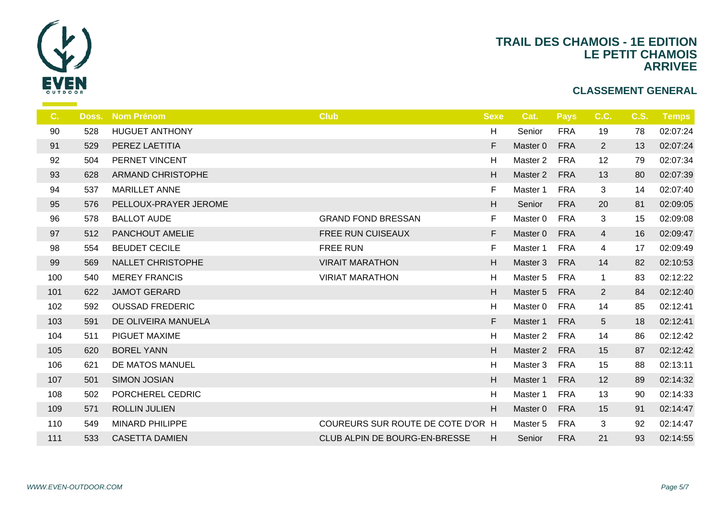

| C.  | Doss. | <b>Nom Prénom</b>        | <b>Club</b>                       | <b>Sexe</b> | Cat.                | <b>Pays</b> | C.C.            | <b>C.S.</b> | <b>Temps</b> |
|-----|-------|--------------------------|-----------------------------------|-------------|---------------------|-------------|-----------------|-------------|--------------|
| 90  | 528   | <b>HUGUET ANTHONY</b>    |                                   | н           | Senior              | <b>FRA</b>  | 19              | 78          | 02:07:24     |
| 91  | 529   | PEREZ LAETITIA           |                                   | F           | Master 0            | <b>FRA</b>  | $\overline{2}$  | 13          | 02:07:24     |
| 92  | 504   | PERNET VINCENT           |                                   | Н           | Master 2            | <b>FRA</b>  | 12              | 79          | 02:07:34     |
| 93  | 628   | <b>ARMAND CHRISTOPHE</b> |                                   | H.          | Master 2            | <b>FRA</b>  | 13              | 80          | 02:07:39     |
| 94  | 537   | <b>MARILLET ANNE</b>     |                                   | $\mathsf F$ | Master 1            | <b>FRA</b>  | 3               | 14          | 02:07:40     |
| 95  | 576   | PELLOUX-PRAYER JEROME    |                                   | H           | Senior              | <b>FRA</b>  | 20              | 81          | 02:09:05     |
| 96  | 578   | <b>BALLOT AUDE</b>       | <b>GRAND FOND BRESSAN</b>         | F           | Master <sub>0</sub> | <b>FRA</b>  | 3               | 15          | 02:09:08     |
| 97  | 512   | PANCHOUT AMELIE          | FREE RUN CUISEAUX                 | F           | Master 0            | <b>FRA</b>  | $\overline{4}$  | 16          | 02:09:47     |
| 98  | 554   | <b>BEUDET CECILE</b>     | <b>FREE RUN</b>                   | F           | Master 1            | <b>FRA</b>  | 4               | 17          | 02:09:49     |
| 99  | 569   | <b>NALLET CHRISTOPHE</b> | <b>VIRAIT MARATHON</b>            | H           | Master 3            | <b>FRA</b>  | 14              | 82          | 02:10:53     |
| 100 | 540   | <b>MEREY FRANCIS</b>     | <b>VIRIAT MARATHON</b>            | Н           | Master 5            | <b>FRA</b>  | $\mathbf{1}$    | 83          | 02:12:22     |
| 101 | 622   | <b>JAMOT GERARD</b>      |                                   | H           | Master 5            | <b>FRA</b>  | $\overline{2}$  | 84          | 02:12:40     |
| 102 | 592   | <b>OUSSAD FREDERIC</b>   |                                   | Н           | Master 0            | <b>FRA</b>  | 14              | 85          | 02:12:41     |
| 103 | 591   | DE OLIVEIRA MANUELA      |                                   | F           | Master 1            | <b>FRA</b>  | $5\phantom{.0}$ | 18          | 02:12:41     |
| 104 | 511   | PIGUET MAXIME            |                                   | Н           | Master 2            | <b>FRA</b>  | 14              | 86          | 02:12:42     |
| 105 | 620   | <b>BOREL YANN</b>        |                                   | H           | Master 2            | <b>FRA</b>  | 15              | 87          | 02:12:42     |
| 106 | 621   | DE MATOS MANUEL          |                                   | Н           | Master 3            | <b>FRA</b>  | 15              | 88          | 02:13:11     |
| 107 | 501   | <b>SIMON JOSIAN</b>      |                                   | H           | Master 1            | <b>FRA</b>  | 12              | 89          | 02:14:32     |
| 108 | 502   | PORCHEREL CEDRIC         |                                   | H           | Master 1            | <b>FRA</b>  | 13              | 90          | 02:14:33     |
| 109 | 571   | <b>ROLLIN JULIEN</b>     |                                   | H           | Master 0            | <b>FRA</b>  | 15              | 91          | 02:14:47     |
| 110 | 549   | <b>MINARD PHILIPPE</b>   | COUREURS SUR ROUTE DE COTE D'OR H |             | Master 5            | <b>FRA</b>  | 3               | 92          | 02:14:47     |
| 111 | 533   | <b>CASETTA DAMIEN</b>    | CLUB ALPIN DE BOURG-EN-BRESSE     | H           | Senior              | <b>FRA</b>  | 21              | 93          | 02:14:55     |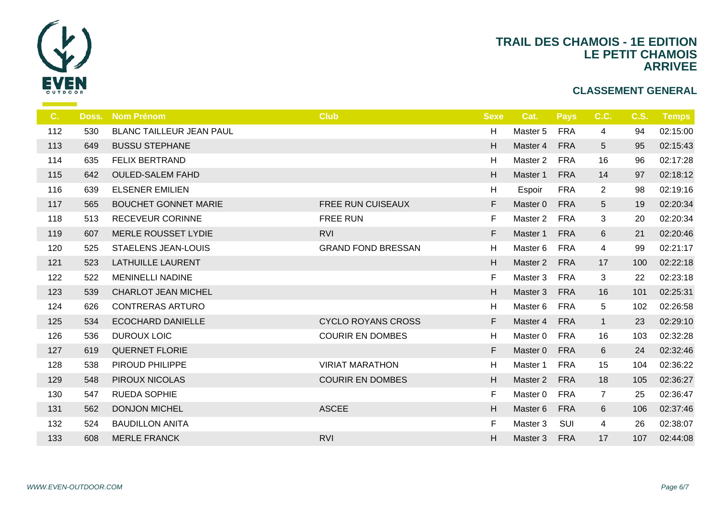

| C.  | Doss. | <b>Nom Prénom</b>               | <b>Club</b>               | <b>Sexe</b> | Cat.     | <b>Pays</b> | C.C.            | <b>C.S.</b> | <b>Temps</b> |
|-----|-------|---------------------------------|---------------------------|-------------|----------|-------------|-----------------|-------------|--------------|
| 112 | 530   | <b>BLANC TAILLEUR JEAN PAUL</b> |                           | H           | Master 5 | <b>FRA</b>  | 4               | 94          | 02:15:00     |
| 113 | 649   | <b>BUSSU STEPHANE</b>           |                           | H           | Master 4 | <b>FRA</b>  | $5\phantom{.0}$ | 95          | 02:15:43     |
| 114 | 635   | <b>FELIX BERTRAND</b>           |                           | H           | Master 2 | <b>FRA</b>  | 16              | 96          | 02:17:28     |
| 115 | 642   | <b>OULED-SALEM FAHD</b>         |                           | H           | Master 1 | <b>FRA</b>  | 14              | 97          | 02:18:12     |
| 116 | 639   | <b>ELSENER EMILIEN</b>          |                           | H           | Espoir   | <b>FRA</b>  | $\overline{2}$  | 98          | 02:19:16     |
| 117 | 565   | <b>BOUCHET GONNET MARIE</b>     | <b>FREE RUN CUISEAUX</b>  | F           | Master 0 | <b>FRA</b>  | 5               | 19          | 02:20:34     |
| 118 | 513   | <b>RECEVEUR CORINNE</b>         | <b>FREE RUN</b>           | F           | Master 2 | <b>FRA</b>  | 3               | 20          | 02:20:34     |
| 119 | 607   | <b>MERLE ROUSSET LYDIE</b>      | <b>RVI</b>                | F           | Master 1 | <b>FRA</b>  | 6               | 21          | 02:20:46     |
| 120 | 525   | <b>STAELENS JEAN-LOUIS</b>      | <b>GRAND FOND BRESSAN</b> | H           | Master 6 | <b>FRA</b>  | 4               | 99          | 02:21:17     |
| 121 | 523   | <b>LATHUILLE LAURENT</b>        |                           | H           | Master 2 | <b>FRA</b>  | 17              | 100         | 02:22:18     |
| 122 | 522   | <b>MENINELLI NADINE</b>         |                           | F           | Master 3 | <b>FRA</b>  | 3               | 22          | 02:23:18     |
| 123 | 539   | <b>CHARLOT JEAN MICHEL</b>      |                           | H           | Master 3 | <b>FRA</b>  | 16              | 101         | 02:25:31     |
| 124 | 626   | <b>CONTRERAS ARTURO</b>         |                           | H           | Master 6 | <b>FRA</b>  | 5               | 102         | 02:26:58     |
| 125 | 534   | <b>ECOCHARD DANIELLE</b>        | <b>CYCLO ROYANS CROSS</b> | F           | Master 4 | <b>FRA</b>  | $\mathbf{1}$    | 23          | 02:29:10     |
| 126 | 536   | <b>DUROUX LOIC</b>              | <b>COURIR EN DOMBES</b>   | H           | Master 0 | <b>FRA</b>  | 16              | 103         | 02:32:28     |
| 127 | 619   | <b>QUERNET FLORIE</b>           |                           | F           | Master 0 | <b>FRA</b>  | 6               | 24          | 02:32:46     |
| 128 | 538   | PIROUD PHILIPPE                 | <b>VIRIAT MARATHON</b>    | H           | Master 1 | <b>FRA</b>  | 15              | 104         | 02:36:22     |
| 129 | 548   | <b>PIROUX NICOLAS</b>           | <b>COURIR EN DOMBES</b>   | H           | Master 2 | <b>FRA</b>  | 18              | 105         | 02:36:27     |
| 130 | 547   | <b>RUEDA SOPHIE</b>             |                           | F           | Master 0 | <b>FRA</b>  | $\overline{7}$  | 25          | 02:36:47     |
| 131 | 562   | <b>DONJON MICHEL</b>            | <b>ASCEE</b>              | H           | Master 6 | <b>FRA</b>  | 6               | 106         | 02:37:46     |
| 132 | 524   | <b>BAUDILLON ANITA</b>          |                           | F           | Master 3 | SUI         | 4               | 26          | 02:38:07     |
| 133 | 608   | <b>MERLE FRANCK</b>             | <b>RVI</b>                | H           | Master 3 | <b>FRA</b>  | 17              | 107         | 02:44:08     |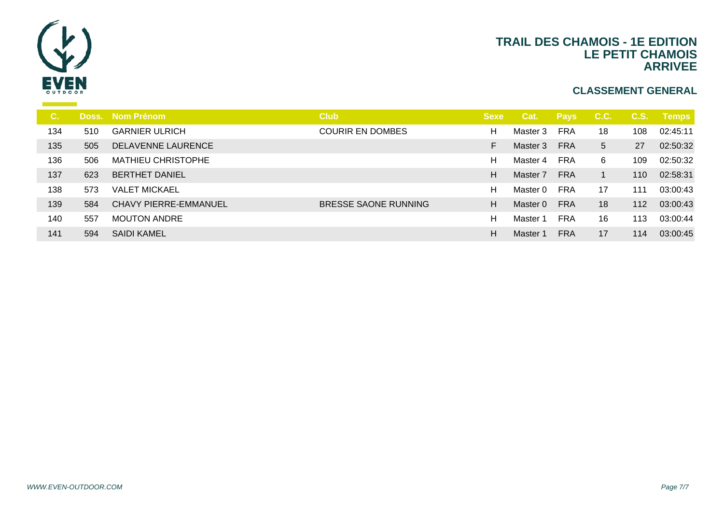

| С.  |     | Doss. Nom Prénom             | <b>Club</b>             | <b>Sexe</b> | Cat.     | <b>Pays</b> | C.C.            | C.S. | <b>Temps</b> |
|-----|-----|------------------------------|-------------------------|-------------|----------|-------------|-----------------|------|--------------|
| 134 | 510 | <b>GARNIER ULRICH</b>        | <b>COURIR EN DOMBES</b> | H           | Master 3 | FRA         | 18              | 108  | 02:45:11     |
| 135 | 505 | DELAVENNE LAURENCE           |                         |             | Master 3 | <b>FRA</b>  | $5\overline{)}$ | 27   | 02:50:32     |
| 136 | 506 | <b>MATHIEU CHRISTOPHE</b>    |                         | н           | Master 4 | <b>FRA</b>  | 6               | 109  | 02:50:32     |
| 137 | 623 | <b>BERTHET DANIEL</b>        |                         | H           | Master 7 | <b>FRA</b>  |                 | 110  | 02:58:31     |
| 138 | 573 | <b>VALET MICKAEL</b>         |                         | н           | Master 0 | FRA         | 17              | 111  | 03:00:43     |
| 139 | 584 | <b>CHAVY PIERRE-EMMANUEL</b> | BRESSE SAONE RUNNING    | H           | Master 0 | <b>FRA</b>  | 18              | 112  | 03:00:43     |
| 140 | 557 | <b>MOUTON ANDRE</b>          |                         | н           | Master 1 | <b>FRA</b>  | 16              | 113  | 03:00:44     |
| 141 | 594 | <b>SAIDI KAMEL</b>           |                         | H.          | Master 1 | <b>FRA</b>  | 17              | 114  | 03:00:45     |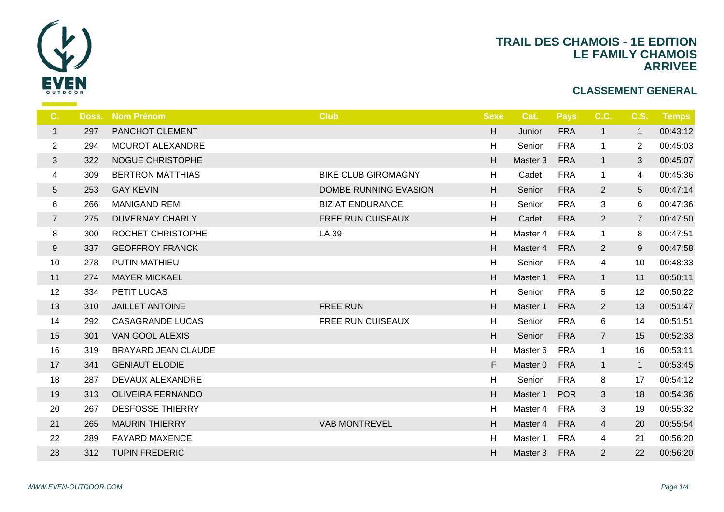

| C.             | Doss. | <b>Nom Prénom</b>          | <b>Club</b>                | <b>Sexe</b> | Cat.     | <b>Pays</b> | C.C.           | C.S.            | <b>Temps</b> |
|----------------|-------|----------------------------|----------------------------|-------------|----------|-------------|----------------|-----------------|--------------|
| $\mathbf{1}$   | 297   | PANCHOT CLEMENT            |                            | H           | Junior   | <b>FRA</b>  | $\mathbf{1}$   | $\overline{1}$  | 00:43:12     |
| $\overline{2}$ | 294   | <b>MOUROT ALEXANDRE</b>    |                            | H           | Senior   | <b>FRA</b>  | $\mathbf{1}$   | $\overline{2}$  | 00:45:03     |
| $\mathbf{3}$   | 322   | <b>NOGUE CHRISTOPHE</b>    |                            | H           | Master 3 | <b>FRA</b>  | $\mathbf{1}$   | 3               | 00:45:07     |
| 4              | 309   | <b>BERTRON MATTHIAS</b>    | <b>BIKE CLUB GIROMAGNY</b> | H           | Cadet    | <b>FRA</b>  | $\mathbf{1}$   | 4               | 00:45:36     |
| $\overline{5}$ | 253   | <b>GAY KEVIN</b>           | DOMBE RUNNING EVASION      | H           | Senior   | <b>FRA</b>  | $\overline{2}$ | $5\phantom{.0}$ | 00:47:14     |
| 6              | 266   | <b>MANIGAND REMI</b>       | <b>BIZIAT ENDURANCE</b>    | H           | Senior   | <b>FRA</b>  | 3              | 6               | 00:47:36     |
| $\overline{7}$ | 275   | <b>DUVERNAY CHARLY</b>     | FREE RUN CUISEAUX          | H           | Cadet    | <b>FRA</b>  | $\overline{2}$ | $\overline{7}$  | 00:47:50     |
| $\bf 8$        | 300   | ROCHET CHRISTOPHE          | LA 39                      | H           | Master 4 | <b>FRA</b>  | $\mathbf{1}$   | 8               | 00:47:51     |
| 9              | 337   | <b>GEOFFROY FRANCK</b>     |                            | H           | Master 4 | <b>FRA</b>  | $\overline{2}$ | 9               | 00:47:58     |
| 10             | 278   | PUTIN MATHIEU              |                            | H           | Senior   | <b>FRA</b>  | 4              | 10              | 00:48:33     |
| 11             | 274   | <b>MAYER MICKAEL</b>       |                            | H           | Master 1 | <b>FRA</b>  | $\mathbf{1}$   | 11              | 00:50:11     |
| 12             | 334   | PETIT LUCAS                |                            | H           | Senior   | <b>FRA</b>  | 5              | 12              | 00:50:22     |
| 13             | 310   | <b>JAILLET ANTOINE</b>     | <b>FREE RUN</b>            | H           | Master 1 | <b>FRA</b>  | $\overline{2}$ | 13              | 00:51:47     |
| 14             | 292   | <b>CASAGRANDE LUCAS</b>    | FREE RUN CUISEAUX          | H           | Senior   | <b>FRA</b>  | 6              | 14              | 00:51:51     |
| 15             | 301   | VAN GOOL ALEXIS            |                            | H           | Senior   | <b>FRA</b>  | $\overline{7}$ | 15              | 00:52:33     |
| 16             | 319   | <b>BRAYARD JEAN CLAUDE</b> |                            | H           | Master 6 | <b>FRA</b>  | $\mathbf{1}$   | 16              | 00:53:11     |
| 17             | 341   | <b>GENIAUT ELODIE</b>      |                            | F           | Master 0 | <b>FRA</b>  | 1              | $\mathbf{1}$    | 00:53:45     |
| 18             | 287   | DEVAUX ALEXANDRE           |                            | H           | Senior   | <b>FRA</b>  | 8              | 17              | 00:54:12     |
| 19             | 313   | <b>OLIVEIRA FERNANDO</b>   |                            | H           | Master 1 | <b>POR</b>  | 3              | 18              | 00:54:36     |
| 20             | 267   | <b>DESFOSSE THIERRY</b>    |                            | H           | Master 4 | <b>FRA</b>  | 3              | 19              | 00:55:32     |
| 21             | 265   | <b>MAURIN THIERRY</b>      | <b>VAB MONTREVEL</b>       | H           | Master 4 | <b>FRA</b>  | $\overline{4}$ | 20              | 00:55:54     |
| 22             | 289   | <b>FAYARD MAXENCE</b>      |                            | H           | Master 1 | <b>FRA</b>  | 4              | 21              | 00:56:20     |
| 23             | 312   | <b>TUPIN FREDERIC</b>      |                            | H           | Master 3 | <b>FRA</b>  | $\overline{2}$ | 22              | 00:56:20     |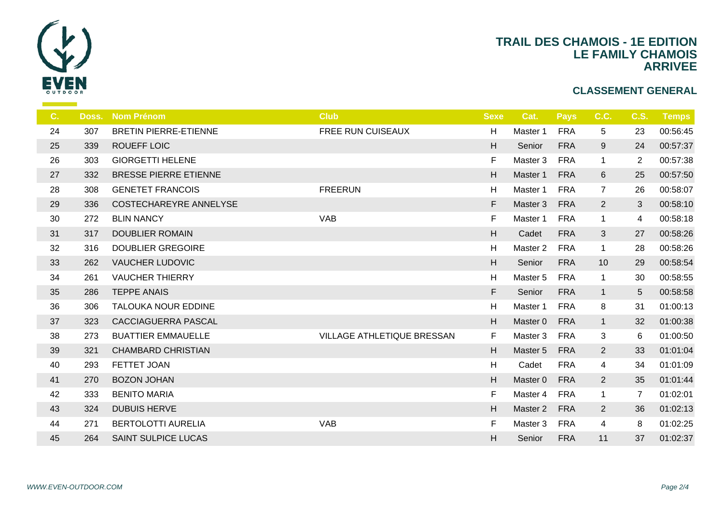

| C. | Doss. | <b>Nom Prénom</b>            | <b>Club</b>                | <b>Sexe</b> | Cat.     | <b>Pays</b> | C.C.           | <b>C.S.</b>    | <b>Temps</b> |
|----|-------|------------------------------|----------------------------|-------------|----------|-------------|----------------|----------------|--------------|
| 24 | 307   | <b>BRETIN PIERRE-ETIENNE</b> | <b>FREE RUN CUISEAUX</b>   | H           | Master 1 | <b>FRA</b>  | 5              | 23             | 00:56:45     |
| 25 | 339   | ROUEFF LOIC                  |                            | H           | Senior   | <b>FRA</b>  | 9              | 24             | 00:57:37     |
| 26 | 303   | <b>GIORGETTI HELENE</b>      |                            | F           | Master 3 | <b>FRA</b>  | $\mathbf{1}$   | $\overline{2}$ | 00:57:38     |
| 27 | 332   | <b>BRESSE PIERRE ETIENNE</b> |                            | H           | Master 1 | <b>FRA</b>  | $6\phantom{1}$ | 25             | 00:57:50     |
| 28 | 308   | <b>GENETET FRANCOIS</b>      | <b>FREERUN</b>             | H           | Master 1 | <b>FRA</b>  | $\overline{7}$ | 26             | 00:58:07     |
| 29 | 336   | COSTECHAREYRE ANNELYSE       |                            | F           | Master 3 | <b>FRA</b>  | $\overline{2}$ | 3              | 00:58:10     |
| 30 | 272   | <b>BLIN NANCY</b>            | <b>VAB</b>                 | F           | Master 1 | <b>FRA</b>  | $\mathbf{1}$   | 4              | 00:58:18     |
| 31 | 317   | <b>DOUBLIER ROMAIN</b>       |                            | H           | Cadet    | <b>FRA</b>  | $\mathbf{3}$   | 27             | 00:58:26     |
| 32 | 316   | <b>DOUBLIER GREGOIRE</b>     |                            | H           | Master 2 | <b>FRA</b>  | $\mathbf{1}$   | 28             | 00:58:26     |
| 33 | 262   | <b>VAUCHER LUDOVIC</b>       |                            | H           | Senior   | <b>FRA</b>  | 10             | 29             | 00:58:54     |
| 34 | 261   | <b>VAUCHER THIERRY</b>       |                            | H           | Master 5 | <b>FRA</b>  | $\mathbf{1}$   | 30             | 00:58:55     |
| 35 | 286   | <b>TEPPE ANAIS</b>           |                            | F.          | Senior   | <b>FRA</b>  | $\mathbf{1}$   | 5              | 00:58:58     |
| 36 | 306   | TALOUKA NOUR EDDINE          |                            | H           | Master 1 | <b>FRA</b>  | 8              | 31             | 01:00:13     |
| 37 | 323   | <b>CACCIAGUERRA PASCAL</b>   |                            | H           | Master 0 | <b>FRA</b>  | $\mathbf{1}$   | 32             | 01:00:38     |
| 38 | 273   | <b>BUATTIER EMMAUELLE</b>    | VILLAGE ATHLETIQUE BRESSAN | F.          | Master 3 | <b>FRA</b>  | 3              | 6              | 01:00:50     |
| 39 | 321   | <b>CHAMBARD CHRISTIAN</b>    |                            | H           | Master 5 | <b>FRA</b>  | $\overline{2}$ | 33             | 01:01:04     |
| 40 | 293   | FETTET JOAN                  |                            | H           | Cadet    | <b>FRA</b>  | 4              | 34             | 01:01:09     |
| 41 | 270   | <b>BOZON JOHAN</b>           |                            | H           | Master 0 | <b>FRA</b>  | $\overline{2}$ | 35             | 01:01:44     |
| 42 | 333   | <b>BENITO MARIA</b>          |                            | F           | Master 4 | <b>FRA</b>  | $\mathbf{1}$   | $\overline{7}$ | 01:02:01     |
| 43 | 324   | <b>DUBUIS HERVE</b>          |                            | H           | Master 2 | <b>FRA</b>  | $\overline{2}$ | 36             | 01:02:13     |
| 44 | 271   | <b>BERTOLOTTI AURELIA</b>    | <b>VAB</b>                 | F           | Master 3 | <b>FRA</b>  | 4              | 8              | 01:02:25     |
| 45 | 264   | <b>SAINT SULPICE LUCAS</b>   |                            | H           | Senior   | <b>FRA</b>  | 11             | 37             | 01:02:37     |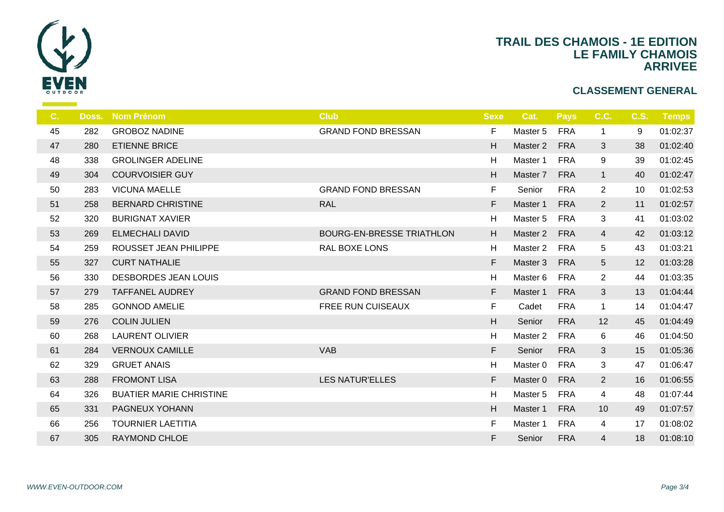

| C. | Doss. | <b>Nom Prénom</b>              | <b>Club</b>                      | <b>Sexe</b> | Cat.                | <b>Pays</b> | C.C.            | <b>C.S.</b> | <b>Temps</b> |
|----|-------|--------------------------------|----------------------------------|-------------|---------------------|-------------|-----------------|-------------|--------------|
| 45 | 282   | <b>GROBOZ NADINE</b>           | <b>GRAND FOND BRESSAN</b>        | F           | Master 5            | <b>FRA</b>  | $\mathbf{1}$    | 9           | 01:02:37     |
| 47 | 280   | <b>ETIENNE BRICE</b>           |                                  | H           | Master 2            | <b>FRA</b>  | 3               | 38          | 01:02:40     |
| 48 | 338   | <b>GROLINGER ADELINE</b>       |                                  | Н           | Master 1            | <b>FRA</b>  | 9               | 39          | 01:02:45     |
| 49 | 304   | <b>COURVOISIER GUY</b>         |                                  | H           | Master 7            | <b>FRA</b>  | $\mathbf{1}$    | 40          | 01:02:47     |
| 50 | 283   | <b>VICUNA MAELLE</b>           | <b>GRAND FOND BRESSAN</b>        | $\mathsf F$ | Senior              | <b>FRA</b>  | $\overline{2}$  | 10          | 01:02:53     |
| 51 | 258   | <b>BERNARD CHRISTINE</b>       | <b>RAL</b>                       | F           | Master 1            | <b>FRA</b>  | $\overline{2}$  | 11          | 01:02:57     |
| 52 | 320   | <b>BURIGNAT XAVIER</b>         |                                  | н           | Master 5            | <b>FRA</b>  | 3               | 41          | 01:03:02     |
| 53 | 269   | <b>ELMECHALI DAVID</b>         | <b>BOURG-EN-BRESSE TRIATHLON</b> | H           | Master 2            | <b>FRA</b>  | $\overline{4}$  | 42          | 01:03:12     |
| 54 | 259   | ROUSSET JEAN PHILIPPE          | <b>RAL BOXE LONS</b>             | Н           | Master <sub>2</sub> | FRA         | 5               | 43          | 01:03:21     |
| 55 | 327   | <b>CURT NATHALIE</b>           |                                  | F           | Master 3            | <b>FRA</b>  | $5\overline{)}$ | 12          | 01:03:28     |
| 56 | 330   | <b>DESBORDES JEAN LOUIS</b>    |                                  | Н           | Master 6            | <b>FRA</b>  | $\overline{2}$  | 44          | 01:03:35     |
| 57 | 279   | <b>TAFFANEL AUDREY</b>         | <b>GRAND FOND BRESSAN</b>        | F           | Master 1            | <b>FRA</b>  | $\mathbf{3}$    | 13          | 01:04:44     |
| 58 | 285   | <b>GONNOD AMELIE</b>           | <b>FREE RUN CUISEAUX</b>         | F           | Cadet               | <b>FRA</b>  | $\mathbf{1}$    | 14          | 01:04:47     |
| 59 | 276   | <b>COLIN JULIEN</b>            |                                  | H           | Senior              | <b>FRA</b>  | 12              | 45          | 01:04:49     |
| 60 | 268   | <b>LAURENT OLIVIER</b>         |                                  | Н           | Master <sub>2</sub> | <b>FRA</b>  | 6               | 46          | 01:04:50     |
| 61 | 284   | <b>VERNOUX CAMILLE</b>         | <b>VAB</b>                       | F           | Senior              | <b>FRA</b>  | 3               | 15          | 01:05:36     |
| 62 | 329   | <b>GRUET ANAIS</b>             |                                  | Н           | Master 0            | <b>FRA</b>  | 3               | 47          | 01:06:47     |
| 63 | 288   | <b>FROMONT LISA</b>            | <b>LES NATUR'ELLES</b>           | F           | Master 0            | <b>FRA</b>  | $2^{\circ}$     | 16          | 01:06:55     |
| 64 | 326   | <b>BUATIER MARIE CHRISTINE</b> |                                  | Н           | Master 5            | <b>FRA</b>  | 4               | 48          | 01:07:44     |
| 65 | 331   | PAGNEUX YOHANN                 |                                  | H           | Master 1            | <b>FRA</b>  | 10              | 49          | 01:07:57     |
| 66 | 256   | <b>TOURNIER LAETITIA</b>       |                                  | F           | Master 1            | <b>FRA</b>  | 4               | 17          | 01:08:02     |
| 67 | 305   | <b>RAYMOND CHLOE</b>           |                                  | F           | Senior              | <b>FRA</b>  | $\overline{4}$  | 18          | 01:08:10     |